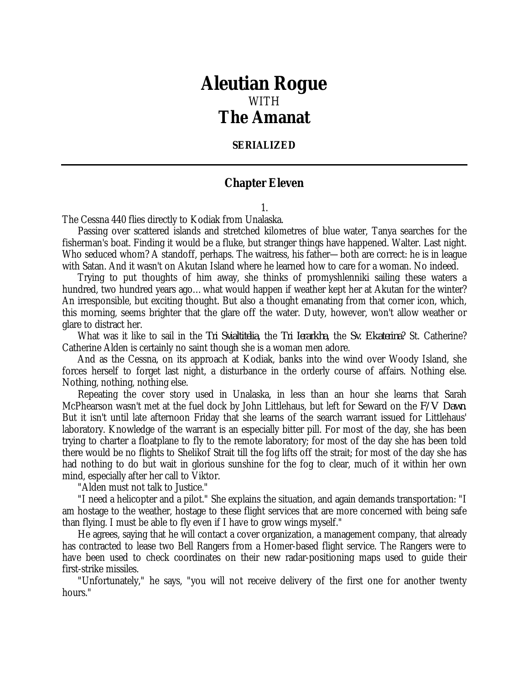## *Aleutian Rogue* WITH *The Amanat*

## **SERIALIZED**

## **Chapter Eleven**

1.

The Cessna 440 flies directly to Kodiak from Unalaska.

Passing over scattered islands and stretched kilometres of blue water, Tanya searches for the fisherman's boat. Finding it would be a fluke, but stranger things have happened. Walter. Last night. Who seduced whom? A standoff, perhaps. The waitress, his father—both are correct: he is in league with Satan. And it wasn't on Akutan Island where he learned how to care for a woman. No indeed.

Trying to put thoughts of him away, she thinks of promyshlenniki sailing these waters a hundred, two hundred years ago...what would happen if weather kept her at Akutan for the winter? An irresponsible, but exciting thought. But also a thought emanating from that corner icon, which, this morning, seems brighter that the glare off the water. Duty, however, won't allow weather or glare to distract her.

What was it like to sail in the *Tri Svialtitelia*, the *Tri Ierarkha*, the *Sv. Ekaterina*? St. Catherine? Catherine Alden is certainly no saint though she is a woman men adore.

And as the Cessna, on its approach at Kodiak, banks into the wind over Woody Island, she forces herself to forget last night, a disturbance in the orderly course of affairs. Nothing else. Nothing, nothing, nothing else.

Repeating the cover story used in Unalaska, in less than an hour she learns that Sarah McPhearson wasn't met at the fuel dock by John Littlehaus, but left for Seward on the *F/V Dawn*. But it isn't until late afternoon Friday that she learns of the search warrant issued for Littlehaus' laboratory. Knowledge of the warrant is an especially bitter pill. For most of the day, she has been trying to charter a floatplane to fly to the remote laboratory; for most of the day she has been told there would be no flights to Shelikof Strait till the fog lifts off the strait; for most of the day she has had nothing to do but wait in glorious sunshine for the fog to clear, much of it within her own mind, especially after her call to Viktor.

"Alden must not talk to Justice."

"I need a helicopter and a pilot." She explains the situation, and again demands transportation: "I am hostage to the weather, hostage to these flight services that are more concerned with being safe than flying. I must be able to fly even if I have to grow wings myself."

He agrees, saying that he will contact a cover organization, a management company, that already has contracted to lease two Bell Rangers from a Homer-based flight service. The Rangers were to have been used to check coordinates on their new radar-positioning maps used to guide their first-strike missiles.

"Unfortunately," he says, "you will not receive delivery of the first one for another twenty hours."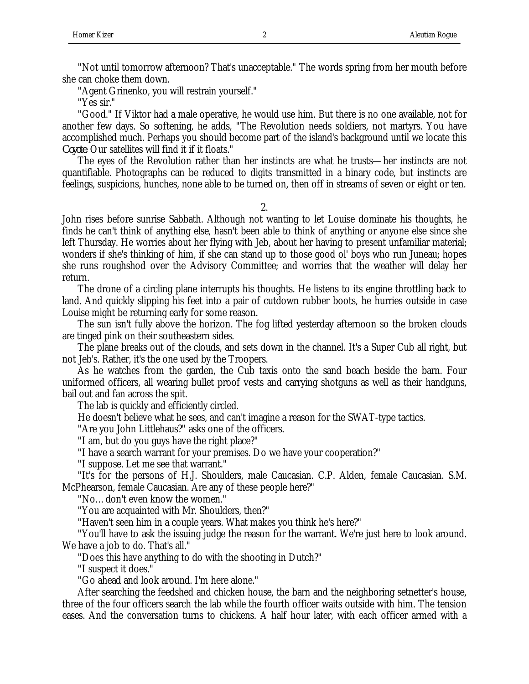"Not until tomorrow afternoon? That's unacceptable." The words spring from her mouth before she can choke them down.

"Agent Grinenko, you will restrain yourself."

"Yes sir."

"Good." If Viktor had a male operative, he would use him. But there is no one available, not for another few days. So softening, he adds, "The Revolution needs soldiers, not martyrs. You have accomplished much. Perhaps you should become part of the island's background until we locate this *Coyote*. Our satellites will find it if it floats."

The eyes of the Revolution rather than her instincts are what he trusts—her instincts are not quantifiable. Photographs can be reduced to digits transmitted in a binary code, but instincts are feelings, suspicions, hunches, none able to be turned on, then off in streams of seven or eight or ten.

2.

John rises before sunrise Sabbath. Although not wanting to let Louise dominate his thoughts, he finds he can't think of anything else, hasn't been able to think of anything or anyone else since she left Thursday. He worries about her flying with Jeb, about her having to present unfamiliar material; wonders if she's thinking of him, if she can stand up to those good ol' boys who run Juneau; hopes she runs roughshod over the Advisory Committee; and worries that the weather will delay her return.

The drone of a circling plane interrupts his thoughts. He listens to its engine throttling back to land. And quickly slipping his feet into a pair of cutdown rubber boots, he hurries outside in case Louise might be returning early for some reason.

The sun isn't fully above the horizon. The fog lifted yesterday afternoon so the broken clouds are tinged pink on their southeastern sides.

The plane breaks out of the clouds, and sets down in the channel. It's a Super Cub all right, but not Jeb's. Rather, it's the one used by the Troopers.

As he watches from the garden, the Cub taxis onto the sand beach beside the barn. Four uniformed officers, all wearing bullet proof vests and carrying shotguns as well as their handguns, bail out and fan across the spit.

The lab is quickly and efficiently circled.

He doesn't believe what he sees, and can't imagine a reason for the SWAT-type tactics.

"Are you John Littlehaus?" asks one of the officers.

"I am, but do you guys have the right place?"

"I have a search warrant for your premises. Do we have your cooperation?"

"I suppose. Let me see that warrant."

"It's for the persons of H.J. Shoulders, male Caucasian. C.P. Alden, female Caucasian. S.M. McPhearson, female Caucasian. Are any of these people here?"

"No…don't even know the women."

"You are acquainted with Mr. Shoulders, then?"

"Haven't seen him in a couple years. What makes you think he's here?"

"You'll have to ask the issuing judge the reason for the warrant. We're just here to look around. We have a job to do. That's all."

"Does this have anything to do with the shooting in Dutch?"

"I suspect it does."

"Go ahead and look around. I'm here alone."

After searching the feedshed and chicken house, the barn and the neighboring setnetter's house, three of the four officers search the lab while the fourth officer waits outside with him. The tension eases. And the conversation turns to chickens. A half hour later, with each officer armed with a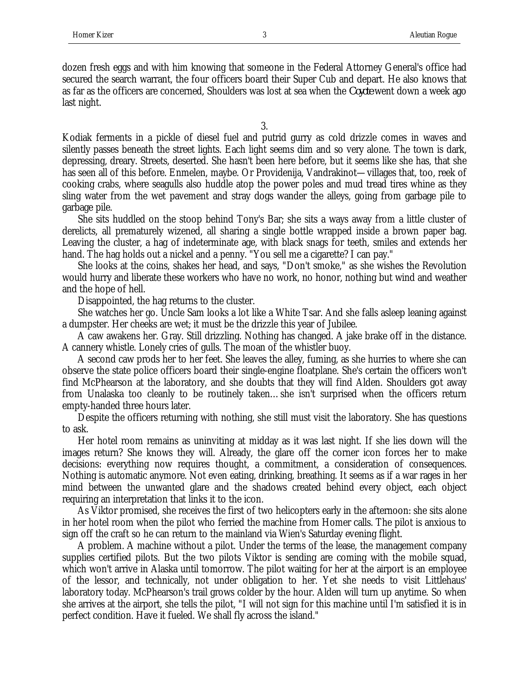dozen fresh eggs and with him knowing that someone in the Federal Attorney General's office had secured the search warrant, the four officers board their Super Cub and depart. He also knows that as far as the officers are concerned, Shoulders was lost at sea when the *Coyote* went down a week ago last night.

3.

Kodiak ferments in a pickle of diesel fuel and putrid gurry as cold drizzle comes in waves and silently passes beneath the street lights. Each light seems dim and so very alone. The town is dark, depressing, dreary. Streets, deserted. She hasn't been here before, but it seems like she has, that she has seen all of this before. Enmelen, maybe. Or Providenija, Vandrakinot—villages that, too, reek of cooking crabs, where seagulls also huddle atop the power poles and mud tread tires whine as they sling water from the wet pavement and stray dogs wander the alleys, going from garbage pile to garbage pile.

She sits huddled on the stoop behind Tony's Bar; she sits a ways away from a little cluster of derelicts, all prematurely wizened, all sharing a single bottle wrapped inside a brown paper bag. Leaving the cluster, a hag of indeterminate age, with black snags for teeth, smiles and extends her hand. The hag holds out a nickel and a penny. "You sell me a cigarette? I can pay."

She looks at the coins, shakes her head, and says, "Don't smoke," as she wishes the Revolution would hurry and liberate these workers who have no work, no honor, nothing but wind and weather and the hope of hell.

Disappointed, the hag returns to the cluster.

She watches her go. Uncle Sam looks a lot like a White Tsar. And she falls asleep leaning against a dumpster. Her cheeks are wet; it must be the drizzle this year of Jubilee.

A caw awakens her. Gray. Still drizzling. Nothing has changed. A jake brake off in the distance. A cannery whistle. Lonely cries of gulls. The moan of the whistler buoy.

A second caw prods her to her feet. She leaves the alley, fuming, as she hurries to where she can observe the state police officers board their single-engine floatplane. She's certain the officers won't find McPhearson at the laboratory, and she doubts that they will find Alden. Shoulders got away from Unalaska too cleanly to be routinely taken…she isn't surprised when the officers return empty-handed three hours later.

Despite the officers returning with nothing, she still must visit the laboratory. She has questions to ask.

Her hotel room remains as uninviting at midday as it was last night. If she lies down will the images return? She knows they will. Already, the glare off the corner icon forces her to make decisions: everything now requires thought, a commitment, a consideration of consequences. Nothing is automatic anymore. Not even eating, drinking, breathing. It seems as if a war rages in her mind between the unwanted glare and the shadows created behind every object, each object requiring an interpretation that links it to the icon.

As Viktor promised, she receives the first of two helicopters early in the afternoon: she sits alone in her hotel room when the pilot who ferried the machine from Homer calls. The pilot is anxious to sign off the craft so he can return to the mainland via Wien's Saturday evening flight.

A problem. A machine without a pilot. Under the terms of the lease, the management company supplies certified pilots. But the two pilots Viktor is sending are coming with the mobile squad, which won't arrive in Alaska until tomorrow. The pilot waiting for her at the airport is an employee of the lessor, and technically, not under obligation to her. Yet she needs to visit Littlehaus' laboratory today. McPhearson's trail grows colder by the hour. Alden will turn up anytime. So when she arrives at the airport, she tells the pilot, "I will not sign for this machine until I'm satisfied it is in perfect condition. Have it fueled. We shall fly across the island."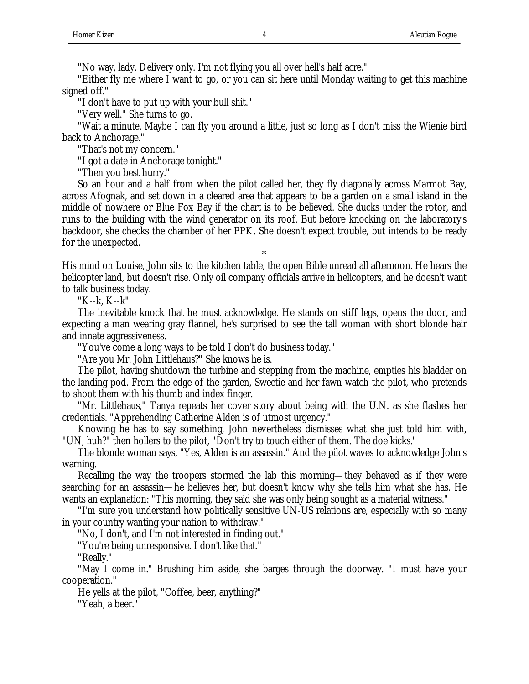"No way, lady. Delivery only. I'm not flying you all over hell's half acre."

"Either fly me where I want to go, or you can sit here until Monday waiting to get this machine signed off."

"I don't have to put up with your bull shit."

"Very well." She turns to go.

"Wait a minute. Maybe I can fly you around a little, just so long as I don't miss the Wienie bird back to Anchorage."

"That's not my concern."

"I got a date in Anchorage tonight."

"Then you best hurry."

So an hour and a half from when the pilot called her, they fly diagonally across Marmot Bay, across Afognak, and set down in a cleared area that appears to be a garden on a small island in the middle of nowhere or Blue Fox Bay if the chart is to be believed. She ducks under the rotor, and runs to the building with the wind generator on its roof. But before knocking on the laboratory's backdoor, she checks the chamber of her PPK. She doesn't expect trouble, but intends to be ready for the unexpected.

His mind on Louise, John sits to the kitchen table, the open Bible unread all afternoon. He hears the helicopter land, but doesn't rise. Only oil company officials arrive in helicopters, and he doesn't want to talk business today.

\*

"K--k, K--k"

The inevitable knock that he must acknowledge. He stands on stiff legs, opens the door, and expecting a man wearing gray flannel, he's surprised to see the tall woman with short blonde hair and innate aggressiveness.

"You've come a long ways to be told I don't do business today."

"Are you Mr. John Littlehaus?" She knows he is.

The pilot, having shutdown the turbine and stepping from the machine, empties his bladder on the landing pod. From the edge of the garden, Sweetie and her fawn watch the pilot, who pretends to shoot them with his thumb and index finger.

"Mr. Littlehaus," Tanya repeats her cover story about being with the U.N. as she flashes her credentials. "Apprehending Catherine Alden is of utmost urgency."

Knowing he has to say something, John nevertheless dismisses what she just told him with, "UN, huh?" then hollers to the pilot, "Don't try to touch either of them. The doe kicks."

The blonde woman says, "Yes, Alden is an assassin." And the pilot waves to acknowledge John's warning.

Recalling the way the troopers stormed the lab this morning—they behaved as if they were searching for an assassin—he believes her, but doesn't know why she tells him what she has. He wants an explanation: "This morning, they said she was only being sought as a material witness."

"I'm sure you understand how politically sensitive UN-US relations are, especially with so many in your country wanting your nation to withdraw."

"No, I don't, and I'm not interested in finding out."

"You're being unresponsive. I don't like that."

"Really."

"May I come in." Brushing him aside, she barges through the doorway. "I must have your cooperation."

He yells at the pilot, "Coffee, beer, anything?"

"Yeah, a beer."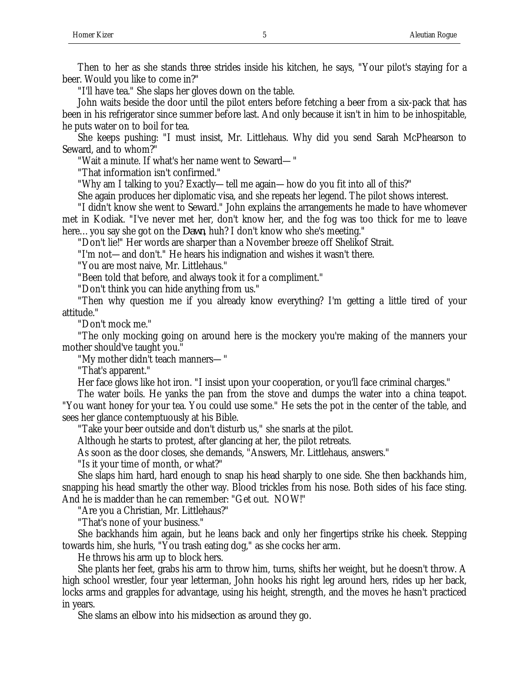Then to her as she stands three strides inside his kitchen, he says, "Your pilot's staying for a beer. Would you like to come in?"

"I'll have tea." She slaps her gloves down on the table.

John waits beside the door until the pilot enters before fetching a beer from a six-pack that has been in his refrigerator since summer before last. And only because it isn't in him to be inhospitable, he puts water on to boil for tea.

She keeps pushing: "I must insist, Mr. Littlehaus. Why did you send Sarah McPhearson to Seward, and to whom?"

"Wait a minute. If what's her name went to Seward—"

"That information isn't confirmed."

"Why am I talking to you? Exactly—tell me again—how do you fit into all of this?"

She again produces her diplomatic visa, and she repeats her legend. The pilot shows interest.

"I didn't know she went to Seward." John explains the arrangements he made to have whomever met in Kodiak. "I've never met her, don't know her, and the fog was too thick for me to leave here…you say she got on the *Dawn*, huh? I don't know who she's meeting."

"Don't lie!" Her words are sharper than a November breeze off Shelikof Strait.

"I'm not—and don't." He hears his indignation and wishes it wasn't there.

"You are most naive, Mr. Littlehaus."

"Been told that before, and always took it for a compliment."

"Don't think you can hide anything from us."

"Then why question me if you already know everything? I'm getting a little tired of your attitude."

"Don't mock me."

"The only mocking going on around here is the mockery you're making of the manners your mother should've taught you."

"My mother didn't teach manners—"

"That's apparent."

Her face glows like hot iron. "I insist upon your cooperation, or you'll face criminal charges."

The water boils. He yanks the pan from the stove and dumps the water into a china teapot. "You want honey for your tea. You could use some." He sets the pot in the center of the table, and sees her glance contemptuously at his Bible.

"Take your beer outside and don't disturb us," she snarls at the pilot.

Although he starts to protest, after glancing at her, the pilot retreats.

As soon as the door closes, she demands, "Answers, Mr. Littlehaus, answers."

"Is it your time of month, or what?"

She slaps him hard, hard enough to snap his head sharply to one side. She then backhands him, snapping his head smartly the other way. Blood trickles from his nose. Both sides of his face sting. And he is madder than he can remember: "Get out. NOW!"

"Are you a Christian, Mr. Littlehaus?"

"That's none of your business."

She backhands him again, but he leans back and only her fingertips strike his cheek. Stepping towards him, she hurls, "You trash eating dog," as she cocks her arm.

He throws his arm up to block hers.

She plants her feet, grabs his arm to throw him, turns, shifts her weight, but he doesn't throw. A high school wrestler, four year letterman, John hooks his right leg around hers, rides up her back, locks arms and grapples for advantage, using his height, strength, and the moves he hasn't practiced in years.

She slams an elbow into his midsection as around they go.